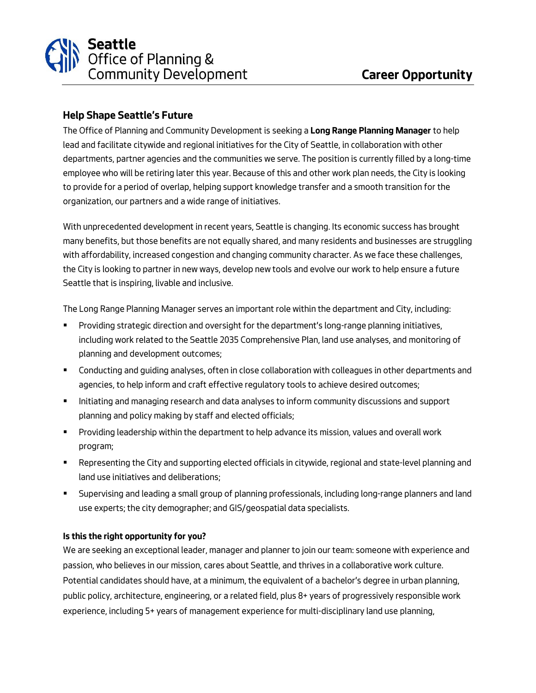## Seattle **Seattle**<br>Office of Planning &<br>Community Development

## **Help Shape Seattle's Future**

*The Office of Planning and Community Development is seeking a* **Long Range Planning Manager** *to help lead and facilitate citywide and regional initiatives for the City of Seattle, in collaboration with other departments, partner agencies and the communities we serve. The position is currently filled by a long-time employee who will be retiring later this year. Because of this and other work plan needs, the City is looking to provide for a period of overlap, helping support knowledge transfer and a smooth transition for the organization, our partners and a wide range of initiatives.* 

*With unprecedented development in recent years, Seattle is changing. Its economic success has brought many benefits, but those benefits are not equally shared, and many residents and businesses are struggling with affordability, increased congestion and changing community character. As we face these challenges, the City is looking to partner in new ways, develop new tools and evolve our work to help ensure a future Seattle that is inspiring, livable and inclusive.* 

*The Long Range Planning Manager serves an important role within the department and City, including:*

- *Providing strategic direction and oversight for the department's long-range planning initiatives, including work related to the Seattle 2035 Comprehensive Plan, land use analyses, and monitoring of planning and development outcomes;*
- *Conducting and guiding analyses, often in close collaboration with colleagues in other departments and agencies, to help inform and craft effective regulatory tools to achieve desired outcomes;*
- *Initiating and managing research and data analyses to inform community discussions and support planning and policy making by staff and elected officials;*
- *Providing leadership within the department to help advance its mission, values and overall work program;*
- Representing the City and supporting elected officials in citywide, regional and state-level planning and *land use initiatives and deliberations;*
- *Supervising and leading a small group of planning professionals, including long-range planners and land use experts; the city demographer; and GIS/geospatial data specialists.*

## **Is this the right opportunity for you?**

*We are seeking an exceptional leader, manager and planner to join our team: someone with experience and passion, who believes in our mission, cares about Seattle, and thrives in a collaborative work culture. Potential candidates should have, at a minimum, the equivalent of a bachelor's degree in urban planning, public policy, architecture, engineering, or a related field, plus 8+ years of progressively responsible work experience, including 5+ years of management experience for multi-disciplinary land use planning,*